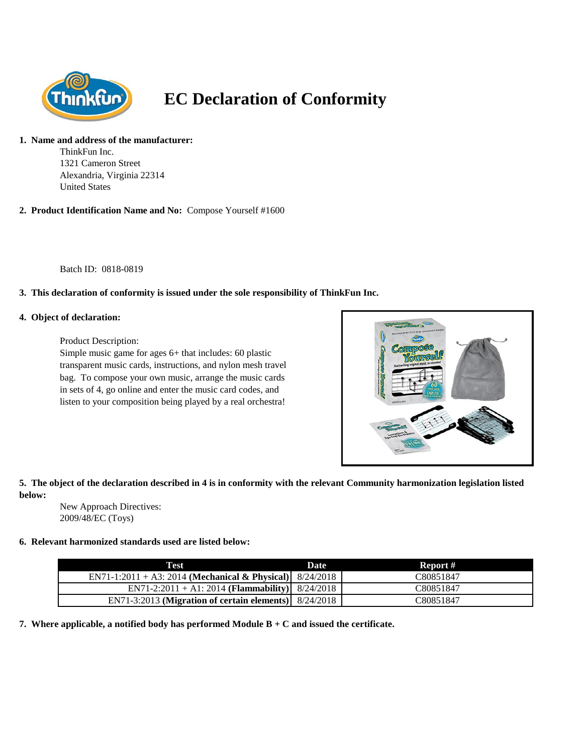

# **EC Declaration of Conformity**

#### **1. Name and address of the manufacturer:**

ThinkFun Inc. 1321 Cameron Street Alexandria, Virginia 22314 United States

**2. Product Identification Name and No:** Compose Yourself #1600

Batch ID: 0818-0819

## **3. This declaration of conformity is issued under the sole responsibility of ThinkFun Inc.**

#### **4. Object of declaration:**

Product Description:

Simple music game for ages 6+ that includes: 60 plastic transparent music cards, instructions, and nylon mesh travel bag. To compose your own music, arrange the music cards in sets of 4, go online and enter the music card codes, and listen to your composition being played by a real orchestra!



# **5. The object of the declaration described in 4 is in conformity with the relevant Community harmonization legislation listed below:**

New Approach Directives: 2009/48/EC (Toys)

#### **6. Relevant harmonized standards used are listed below:**

| Test                                                       | Date | Report #  |
|------------------------------------------------------------|------|-----------|
| EN71-1:2011 + A3: 2014 (Mechanical & Physical) $8/24/2018$ |      | C80851847 |
| EN71-2:2011 + A1: 2014 (Flammability)   $8/24/2018$        |      | C80851847 |
| EN71-3:2013 (Migration of certain elements) 8/24/2018      |      | C80851847 |

**7. Where applicable, a notified body has performed Module B + C and issued the certificate.**